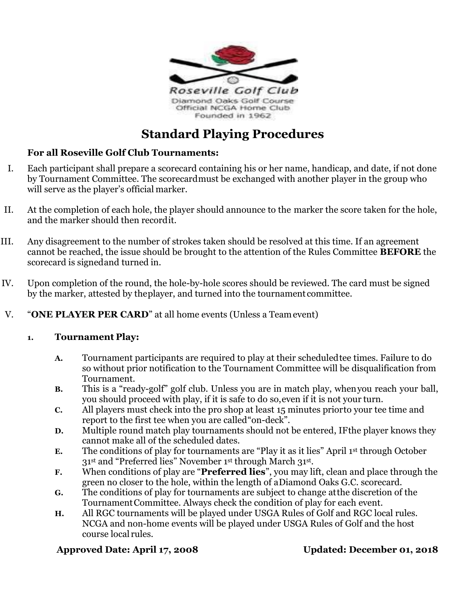

# **Standard Playing Procedures**

### **For all Roseville Golf Club Tournaments:**

- I. Each participant shall prepare a scorecard containing his or her name, handicap, and date, if not done by Tournament Committee. The scorecardmust be exchanged with another player in the group who will serve as the player's official marker.
- II. At the completion of each hole, the player should announce to the marker the score taken for the hole, and the marker should then recordit.
- III. Any disagreement to the number of strokes taken should be resolved at this time. If an agreement cannot be reached, the issue should be brought to the attention of the Rules Committee **BEFORE** the scorecard is signedand turned in.
- IV. Upon completion of the round, the hole-by-hole scores should be reviewed. The card must be signed by the marker, attested by theplayer, and turned into the tournament committee.
- V. "**ONE PLAYER PER CARD**" at all home events (Unless a Teamevent)

#### **1. Tournament Play:**

- **A.** Tournament participants are required to play at their scheduledtee times. Failure to do so without prior notification to the Tournament Committee will be disqualification from Tournament.
- **B.** This is a "ready-golf" golf club. Unless you are in match play, whenyou reach your ball, you should proceed with play, if it is safe to do so,even if it is not your turn.
- **C.** All players must check into the pro shop at least 15 minutes priorto your tee time and report to the first tee when you are called"on-deck".
- **D.** Multiple round match play tournaments should not be entered, IFthe player knows they cannot make all of the scheduled dates.
- **E.** The conditions of play for tournaments are "Play it as it lies" April 1st through October 31st and "Preferred lies" November 1st through March 31st .
- **F.** When conditions of play are "**Preferred lies**", you may lift, clean and place through the green no closer to the hole, within the length of aDiamond Oaks G.C. scorecard.
- **G.** The conditions of play for tournaments are subject to change atthe discretion of the TournamentCommittee. Always check the condition of play for each event.
- **H.** All RGC tournaments will be played under USGA Rules of Golf and RGC local rules. NCGA and non-home events will be played under USGA Rules of Golf and the host course local rules.

#### **Approved Date: April 17, 2008 Updated: December 01, 2018**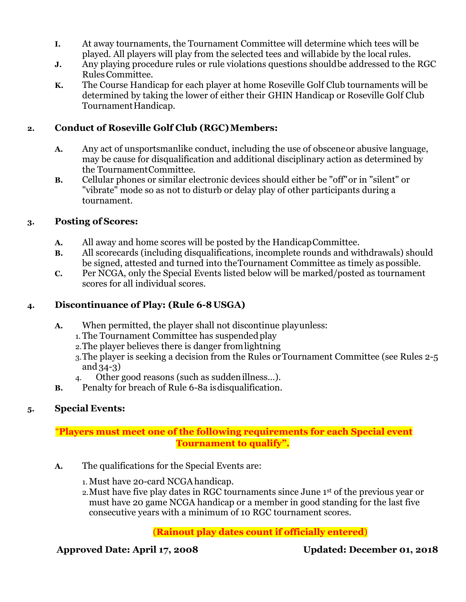- **I.** At away tournaments, the Tournament Committee will determine which tees will be played. All players will play from the selected tees and willabide by the local rules.
- **J.** Any playing procedure rules or rule violations questions shouldbe addressed to the RGC RulesCommittee.
- **K.** The Course Handicap for each player at home Roseville Golf Club tournaments will be determined by taking the lower of either their GHIN Handicap or Roseville Golf Club Tournament Handicap.

### 2. **Conduct of Roseville Golf Club (RGC) Members:**

- **A.** Any act of unsportsmanlike conduct, including the use of obsceneor abusive language, may be cause for disqualification and additional disciplinary action as determined by the TournamentCommittee.
- **B.** Cellular phones or similar electronic devices should either be "off"or in "silent" or "vibrate" mode so as not to disturb or delay play of other participants during a tournament.

### **3. Posting of Scores:**

- **A.** All away and home scores will be posted by the HandicapCommittee.
- **B.** All scorecards (including disqualifications, incomplete rounds and withdrawals) should be signed, attested and turned into theTournament Committee as timely as possible.
- **C.** Per NCGA, only the Special Events listed below will be marked/posted as tournament scores for all individual scores.

# **4. Discontinuance of Play: (Rule 6-8 USGA)**

- **A.** When permitted, the player shall not discontinue playunless:
	- 1. The Tournament Committee has suspended play
	- 2.The player believes there is danger fromlightning
	- 3.The player is seeking a decision from the Rules orTournament Committee (see Rules 2-5 and 34-3)
	- 4. Other good reasons (such as suddenillness…).
- **B.** Penalty for breach of Rule 6-8a isdisqualification.

#### **5. Special Events:**

# "**Players must meet one of the foll0wing requirements for each Special event Tournament to qualify".**

- **A.** The qualifications for the Special Events are:
	- 1. Must have 20-card NCGAhandicap.
	- 2.Must have five play dates in RGC tournaments since June 1st of the previous year or must have 20 game NCGA handicap or a member in good standing for the last five consecutive years with a minimum of 10 RGC tournament scores.

# (**Rainout play dates count if officially entered**)

# **Approved Date: April 17, 2008 Updated: December 01, 2018**